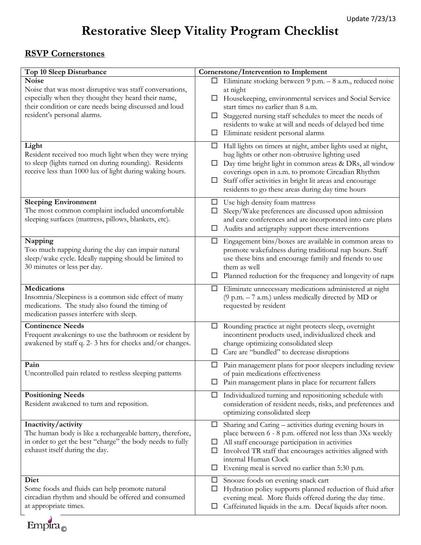## **Restorative Sleep Vitality Program Checklist**

## **RSVP Cornerstones**

 $Empira_{\odot}$ 

| Top 10 Sleep Disturbance                                                                                                                                                                                | Cornerstone/Intervention to Implement                                                                                                                                                                                                                                                                                                                                     |
|---------------------------------------------------------------------------------------------------------------------------------------------------------------------------------------------------------|---------------------------------------------------------------------------------------------------------------------------------------------------------------------------------------------------------------------------------------------------------------------------------------------------------------------------------------------------------------------------|
| <b>Noise</b>                                                                                                                                                                                            | Eliminate stocking between 9 p.m. - 8 a.m., reduced noise<br>$\Box$                                                                                                                                                                                                                                                                                                       |
| Noise that was most disruptive was staff conversations,<br>especially when they thought they heard their name,<br>their condition or care needs being discussed and loud<br>resident's personal alarms. | at night<br>Housekeeping, environmental services and Social Service<br>$\Box$<br>start times no earlier than 8 a.m.<br>Staggered nursing staff schedules to meet the needs of<br>$\Box$<br>residents to wake at will and needs of delayed bed time<br>Eliminate resident personal alarms<br>$\Box$                                                                        |
| Light<br>Resident received too much light when they were trying<br>to sleep (lights turned on during rounding). Residents<br>receive less than 1000 lux of light during waking hours.                   | Hall lights on timers at night, amber lights used at night,<br>$\Box$<br>hug lights or other non-obtrusive lighting used<br>Day time bright light in common areas & DRs, all window<br>□<br>coverings open in a.m. to promote Circadian Rhythm<br>Staff offer activities in bright lit areas and encourage<br>$\Box$<br>residents to go these areas during day time hours |
| <b>Sleeping Environment</b><br>The most common complaint included uncomfortable<br>sleeping surfaces (mattress, pillows, blankets, etc).                                                                | Use high density foam mattress<br>ப<br>Sleep/Wake preferences are discussed upon admission<br>ப<br>and care conferences and are incorporated into care plans<br>Audits and actigraphy support these interventions                                                                                                                                                         |
| Napping<br>Too much napping during the day can impair natural<br>sleep/wake cycle. Ideally napping should be limited to<br>30 minutes or less per day.                                                  | Engagement bins/boxes are available in common areas to<br>ப<br>promote wakefulness during traditional nap hours. Staff<br>use these bins and encourage family and friends to use<br>them as well<br>Planned reduction for the frequency and longevity of naps<br>ப                                                                                                        |
| <b>Medications</b><br>Insomnia/Sleepiness is a common side effect of many<br>medications. The study also found the timing of<br>medication passes interfere with sleep.                                 | Eliminate unnecessary medications administered at night<br>ப<br>$(9 \text{ p.m.} - 7 \text{ a.m.})$ unless medically directed by MD or<br>requested by resident                                                                                                                                                                                                           |
| <b>Continence Needs</b><br>Frequent awakenings to use the bathroom or resident by<br>awakened by staff q. 2-3 hrs for checks and/or changes.                                                            | Rounding practice at night protects sleep, overnight<br>$\Box$<br>incontinent products used, individualized check and<br>change optimizing consolidated sleep<br>Care are "bundled" to decrease disruptions<br>□                                                                                                                                                          |
| Pain<br>Uncontrolled pain related to restless sleeping patterns                                                                                                                                         | Pain management plans for poor sleepers including review<br>of pain medications effectiveness<br>Pain management plans in place for recurrent fallers                                                                                                                                                                                                                     |
| <b>Positioning Needs</b><br>Resident awakened to turn and reposition.                                                                                                                                   | Individualized turning and repositioning schedule with<br>⊔<br>consideration of resident needs, risks, and preferences and<br>optimizing consolidated sleep                                                                                                                                                                                                               |
| Inactivity/activity<br>The human body is like a rechargeable battery, therefore,<br>in order to get the best "charge" the body needs to fully<br>exhaust itself during the day.                         | Sharing and Caring - activities during evening hours in<br>$\Box$<br>place between 6 - 8 p.m. offered not less than 3Xs weekly<br>All staff encourage participation in activities<br>ப<br>Involved TR staff that encourages activities aligned with<br>ப<br>internal Human Clock<br>Evening meal is served no earlier than 5:30 p.m.<br>ப                                 |
| Diet<br>Some foods and fluids can help promote natural<br>circadian rhythm and should be offered and consumed<br>at appropriate times.                                                                  | Snooze foods on evening snack cart<br>ப<br>Hydration policy supports planned reduction of fluid after<br>ப<br>evening meal. More fluids offered during the day time.<br>Caffeinated liquids in the a.m. Decaf liquids after noon.<br>ப                                                                                                                                    |